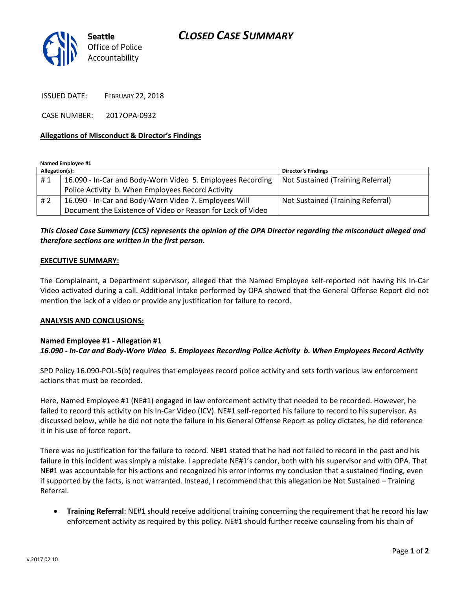# *CLOSED CASE SUMMARY*



ISSUED DATE: FEBRUARY 22, 2018

CASE NUMBER: 2017OPA-0932

### **Allegations of Misconduct & Director's Findings**

**Named Employee #1**

| Allegation(s): |                                                             | <b>Director's Findings</b>        |
|----------------|-------------------------------------------------------------|-----------------------------------|
| #1             | 16.090 - In-Car and Body-Worn Video 5. Employees Recording  | Not Sustained (Training Referral) |
|                | Police Activity b. When Employees Record Activity           |                                   |
| #2             | 16.090 - In-Car and Body-Worn Video 7. Employees Will       | Not Sustained (Training Referral) |
|                | Document the Existence of Video or Reason for Lack of Video |                                   |

## *This Closed Case Summary (CCS) represents the opinion of the OPA Director regarding the misconduct alleged and therefore sections are written in the first person.*

#### **EXECUTIVE SUMMARY:**

The Complainant, a Department supervisor, alleged that the Named Employee self-reported not having his In-Car Video activated during a call. Additional intake performed by OPA showed that the General Offense Report did not mention the lack of a video or provide any justification for failure to record.

### **ANALYSIS AND CONCLUSIONS:**

### **Named Employee #1 - Allegation #1** *16.090 - In-Car and Body-Worn Video 5. Employees Recording Police Activity b. When Employees Record Activity*

SPD Policy 16.090-POL-5(b) requires that employees record police activity and sets forth various law enforcement actions that must be recorded.

Here, Named Employee #1 (NE#1) engaged in law enforcement activity that needed to be recorded. However, he failed to record this activity on his In-Car Video (ICV). NE#1 self-reported his failure to record to his supervisor. As discussed below, while he did not note the failure in his General Offense Report as policy dictates, he did reference it in his use of force report.

There was no justification for the failure to record. NE#1 stated that he had not failed to record in the past and his failure in this incident was simply a mistake. I appreciate NE#1's candor, both with his supervisor and with OPA. That NE#1 was accountable for his actions and recognized his error informs my conclusion that a sustained finding, even if supported by the facts, is not warranted. Instead, I recommend that this allegation be Not Sustained – Training Referral.

• **Training Referral**: NE#1 should receive additional training concerning the requirement that he record his law enforcement activity as required by this policy. NE#1 should further receive counseling from his chain of